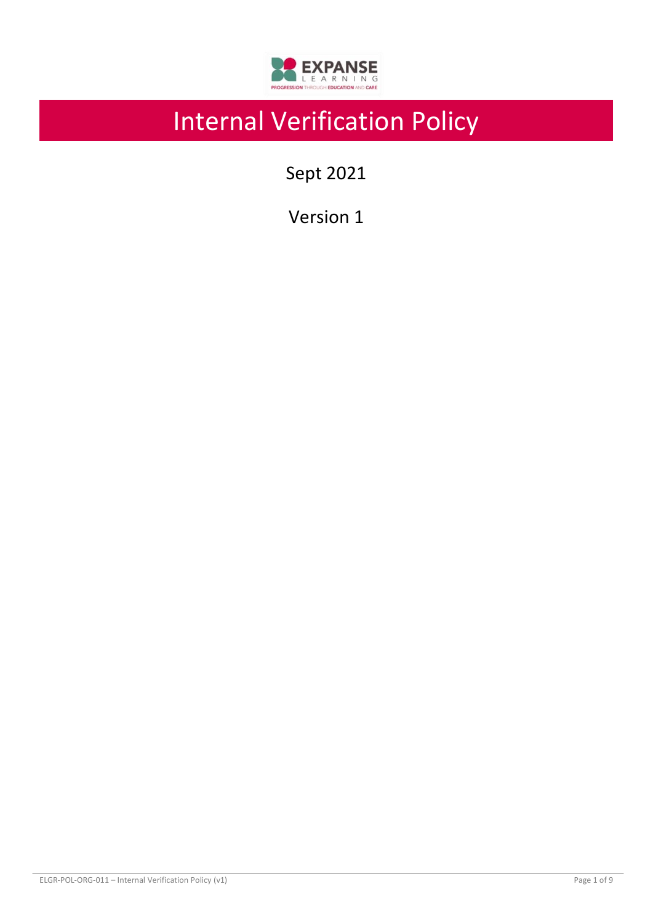

# Internal Verification Policy

Sept 2021

Version 1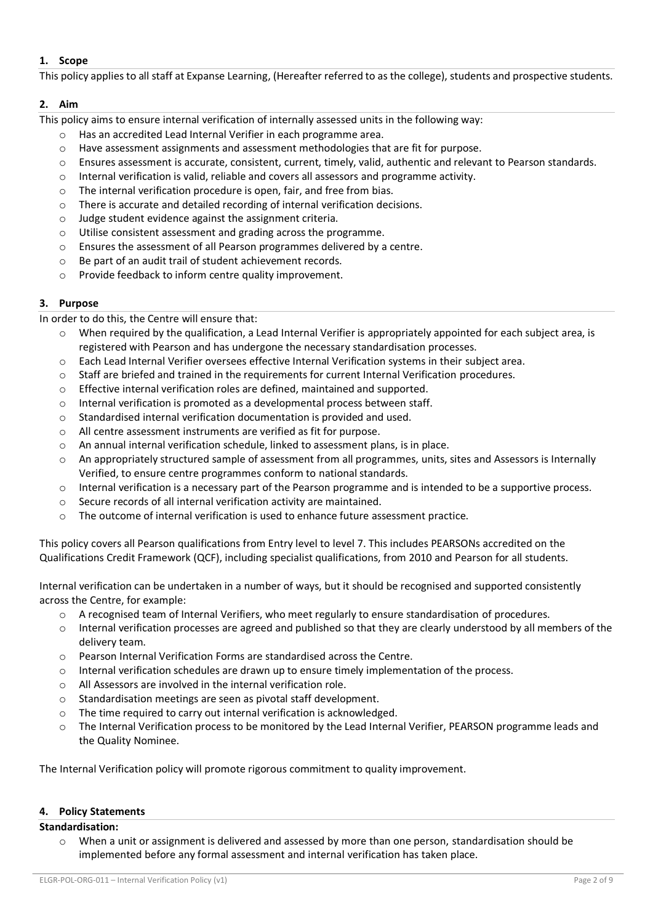## **1. Scope**

This policy applies to all staff at Expanse Learning, (Hereafter referred to as the college), students and prospective students.

# **2. Aim**

This policy aims to ensure internal verification of internally assessed units in the following way:

- Has an accredited Lead Internal Verifier in each programme area.
- o Have assessment assignments and assessment methodologies that are fit for purpose.
- o Ensures assessment is accurate, consistent, current, timely, valid, authentic and relevant to Pearson standards.
- o Internal verification is valid, reliable and covers all assessors and programme activity.
- o The internal verification procedure is open, fair, and free from bias.
- o There is accurate and detailed recording of internal verification decisions.
- o Judge student evidence against the assignment criteria.
- o Utilise consistent assessment and grading across the programme.
- o Ensures the assessment of all Pearson programmes delivered by a centre.
- o Be part of an audit trail of student achievement records.
- o Provide feedback to inform centre quality improvement.

# **3. Purpose**

In order to do this, the Centre will ensure that:

- $\circ$  When required by the qualification, a Lead Internal Verifier is appropriately appointed for each subject area, is registered with Pearson and has undergone the necessary standardisation processes.
- o Each Lead Internal Verifier oversees effective Internal Verification systems in their subject area.
- $\circ$  Staff are briefed and trained in the requirements for current Internal Verification procedures.
- o Effective internal verification roles are defined, maintained and supported.
- o Internal verification is promoted as a developmental process between staff.
- o Standardised internal verification documentation is provided and used.
- o All centre assessment instruments are verified as fit for purpose.
- o An annual internal verification schedule, linked to assessment plans, is in place.
- o An appropriately structured sample of assessment from all programmes, units, sites and Assessors is Internally Verified, to ensure centre programmes conform to national standards.
- $\circ$  Internal verification is a necessary part of the Pearson programme and is intended to be a supportive process.
- o Secure records of all internal verification activity are maintained.
- o The outcome of internal verification is used to enhance future assessment practice.

This policy covers all Pearson qualifications from Entry level to level 7. This includes PEARSONs accredited on the Qualifications Credit Framework (QCF), including specialist qualifications, from 2010 and Pearson for all students.

Internal verification can be undertaken in a number of ways, but it should be recognised and supported consistently across the Centre, for example:

- o A recognised team of Internal Verifiers, who meet regularly to ensure standardisation of procedures.
- o Internal verification processes are agreed and published so that they are clearly understood by all members of the delivery team.
- o Pearson Internal Verification Forms are standardised across the Centre.
- o Internal verification schedules are drawn up to ensure timely implementation of the process.
- o All Assessors are involved in the internal verification role.
- o Standardisation meetings are seen as pivotal staff development.
- o The time required to carry out internal verification is acknowledged.
- o The Internal Verification process to be monitored by the Lead Internal Verifier, PEARSON programme leads and the Quality Nominee.

The Internal Verification policy will promote rigorous commitment to quality improvement.

## **4. Policy Statements**

## **Standardisation:**

o When a unit or assignment is delivered and assessed by more than one person, standardisation should be implemented before any formal assessment and internal verification has taken place.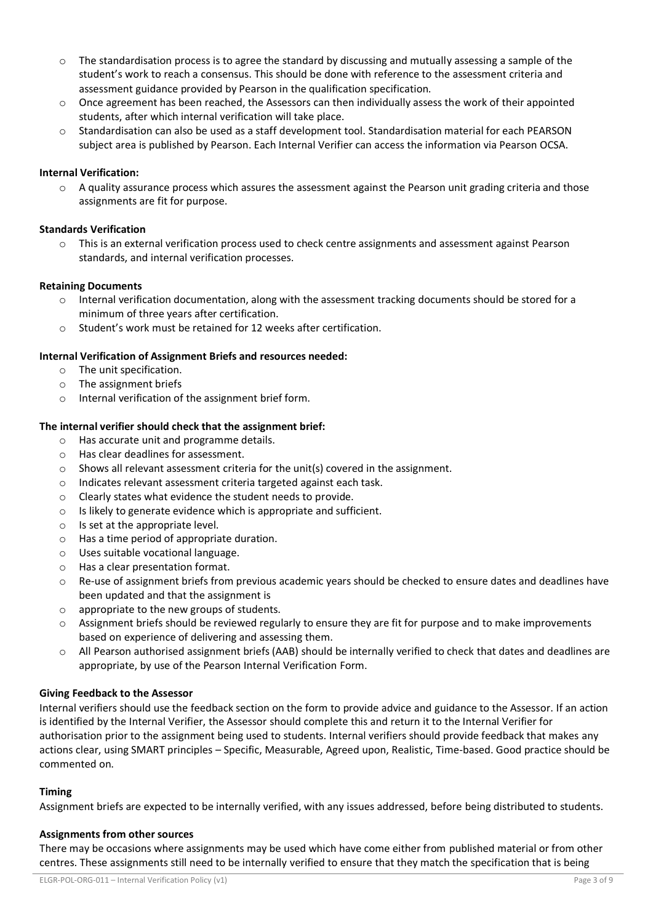- $\circ$  The standardisation process is to agree the standard by discussing and mutually assessing a sample of the student's work to reach a consensus. This should be done with reference to the assessment criteria and assessment guidance provided by Pearson in the qualification specification.
- o Once agreement has been reached, the Assessors can then individually assess the work of their appointed students, after which internal verification will take place.
- Standardisation can also be used as a staff development tool. Standardisation material for each PEARSON subject area is published by Pearson. Each Internal Verifier can access the information via Pearson OCSA.

## **Internal Verification:**

 $\circ$  A quality assurance process which assures the assessment against the Pearson unit grading criteria and those assignments are fit for purpose.

### **Standards Verification**

o This is an external verification process used to check centre assignments and assessment against Pearson standards, and internal verification processes.

#### **Retaining Documents**

- o Internal verification documentation, along with the assessment tracking documents should be stored for a minimum of three years after certification.
- o Student's work must be retained for 12 weeks after certification.

#### **Internal Verification of Assignment Briefs and resources needed:**

- o The unit specification.
- o The assignment briefs
- o Internal verification of the assignment brief form.

#### **The internal verifier should check that the assignment brief:**

- o Has accurate unit and programme details.
- o Has clear deadlines for assessment.
- $\circ$  Shows all relevant assessment criteria for the unit(s) covered in the assignment.
- o Indicates relevant assessment criteria targeted against each task.
- o Clearly states what evidence the student needs to provide.
- o Is likely to generate evidence which is appropriate and sufficient.
- o Is set at the appropriate level.
- o Has a time period of appropriate duration.
- o Uses suitable vocational language.
- o Has a clear presentation format.
- o Re-use of assignment briefs from previous academic years should be checked to ensure dates and deadlines have been updated and that the assignment is
- o appropriate to the new groups of students.
- $\circ$  Assignment briefs should be reviewed regularly to ensure they are fit for purpose and to make improvements based on experience of delivering and assessing them.
- o All Pearson authorised assignment briefs (AAB) should be internally verified to check that dates and deadlines are appropriate, by use of the Pearson Internal Verification Form.

#### **Giving Feedback to the Assessor**

Internal verifiers should use the feedback section on the form to provide advice and guidance to the Assessor. If an action is identified by the Internal Verifier, the Assessor should complete this and return it to the Internal Verifier for authorisation prior to the assignment being used to students. Internal verifiers should provide feedback that makes any actions clear, using SMART principles – Specific, Measurable, Agreed upon, Realistic, Time-based. Good practice should be commented on.

#### **Timing**

Assignment briefs are expected to be internally verified, with any issues addressed, before being distributed to students.

#### **Assignments from other sources**

There may be occasions where assignments may be used which have come either from published material or from other centres. These assignments still need to be internally verified to ensure that they match the specification that is being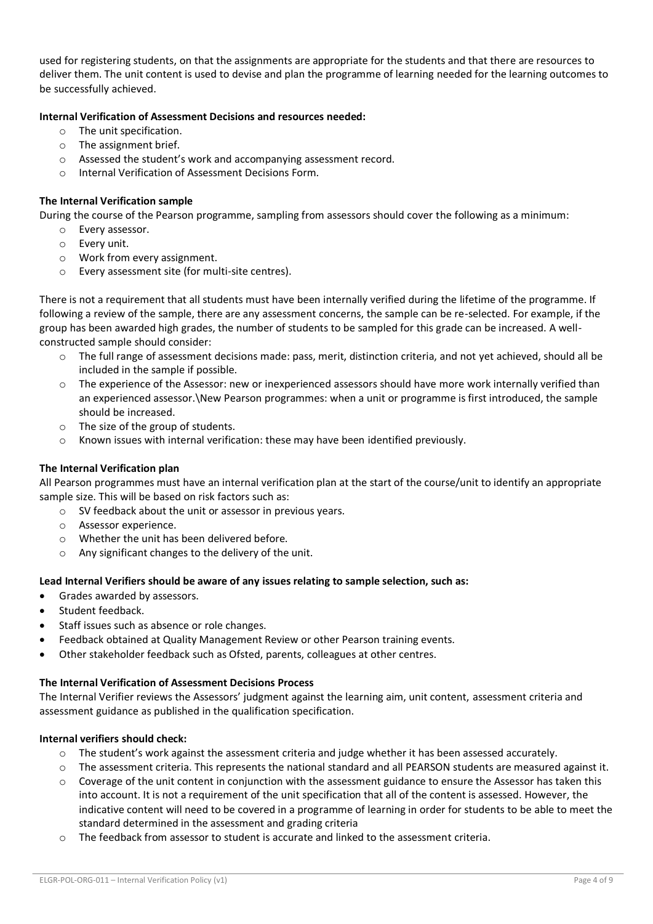used for registering students, on that the assignments are appropriate for the students and that there are resources to deliver them. The unit content is used to devise and plan the programme of learning needed for the learning outcomes to be successfully achieved.

## **Internal Verification of Assessment Decisions and resources needed:**

- o The unit specification.
- o The assignment brief.
- o Assessed the student's work and accompanying assessment record.
- o Internal Verification of Assessment Decisions Form.

## **The Internal Verification sample**

During the course of the Pearson programme, sampling from assessors should cover the following as a minimum:

- o Every assessor.
- o Every unit.
- o Work from every assignment.
- o Every assessment site (for multi-site centres).

There is not a requirement that all students must have been internally verified during the lifetime of the programme. If following a review of the sample, there are any assessment concerns, the sample can be re-selected. For example, if the group has been awarded high grades, the number of students to be sampled for this grade can be increased. A wellconstructed sample should consider:

- The full range of assessment decisions made: pass, merit, distinction criteria, and not yet achieved, should all be included in the sample if possible.
- $\circ$  The experience of the Assessor: new or inexperienced assessors should have more work internally verified than an experienced assessor.\New Pearson programmes: when a unit or programme is first introduced, the sample should be increased.
- o The size of the group of students.
- o Known issues with internal verification: these may have been identified previously.

## **The Internal Verification plan**

All Pearson programmes must have an internal verification plan at the start of the course/unit to identify an appropriate sample size. This will be based on risk factors such as:

- o SV feedback about the unit or assessor in previous years.
- o Assessor experience.
- o Whether the unit has been delivered before.
- o Any significant changes to the delivery of the unit.

## **Lead Internal Verifiers should be aware of any issues relating to sample selection, such as:**

- Grades awarded by assessors.
- Student feedback.
- Staff issues such as absence or role changes.
- Feedback obtained at Quality Management Review or other Pearson training events.
- Other stakeholder feedback such as Ofsted, parents, colleagues at other centres.

## **The Internal Verification of Assessment Decisions Process**

The Internal Verifier reviews the Assessors' judgment against the learning aim, unit content, assessment criteria and assessment guidance as published in the qualification specification.

## **Internal verifiers should check:**

- o The student's work against the assessment criteria and judge whether it has been assessed accurately.
- o The assessment criteria. This represents the national standard and all PEARSON students are measured against it.
- Coverage of the unit content in conjunction with the assessment guidance to ensure the Assessor has taken this into account. It is not a requirement of the unit specification that all of the content is assessed. However, the indicative content will need to be covered in a programme of learning in order for students to be able to meet the standard determined in the assessment and grading criteria
- The feedback from assessor to student is accurate and linked to the assessment criteria.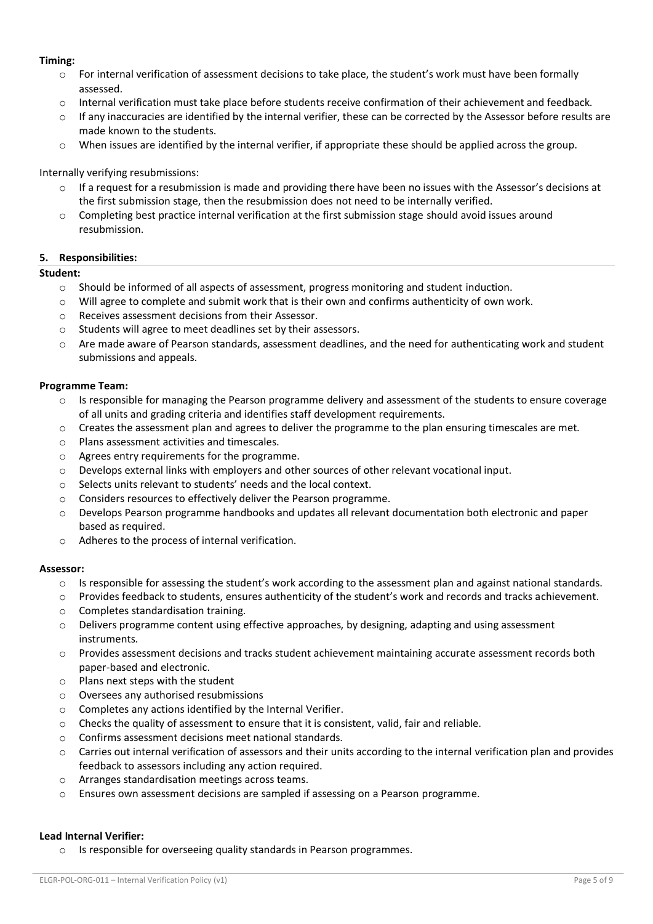#### **Timing:**

- o For internal verification of assessment decisions to take place, the student's work must have been formally assessed.
- o Internal verification must take place before students receive confirmation of their achievement and feedback.
- $\circ$  If any inaccuracies are identified by the internal verifier, these can be corrected by the Assessor before results are made known to the students.
- o When issues are identified by the internal verifier, if appropriate these should be applied across the group.

### Internally verifying resubmissions:

- $\circ$  If a request for a resubmission is made and providing there have been no issues with the Assessor's decisions at the first submission stage, then the resubmission does not need to be internally verified.
- o Completing best practice internal verification at the first submission stage should avoid issues around resubmission.

#### **5. Responsibilities:**

#### **Student:**

- o Should be informed of all aspects of assessment, progress monitoring and student induction.
- $\circ$  Will agree to complete and submit work that is their own and confirms authenticity of own work.
- o Receives assessment decisions from their Assessor.
- o Students will agree to meet deadlines set by their assessors.
- $\circ$  Are made aware of Pearson standards, assessment deadlines, and the need for authenticating work and student submissions and appeals.

#### **Programme Team:**

- $\circ$  Is responsible for managing the Pearson programme delivery and assessment of the students to ensure coverage of all units and grading criteria and identifies staff development requirements.
- o Creates the assessment plan and agrees to deliver the programme to the plan ensuring timescales are met.
- o Plans assessment activities and timescales.
- o Agrees entry requirements for the programme.
- o Develops external links with employers and other sources of other relevant vocational input.
- o Selects units relevant to students' needs and the local context.
- o Considers resources to effectively deliver the Pearson programme.
- o Develops Pearson programme handbooks and updates all relevant documentation both electronic and paper based as required.
- o Adheres to the process of internal verification.

#### **Assessor:**

- $\circ$  Is responsible for assessing the student's work according to the assessment plan and against national standards.
- o Provides feedback to students, ensures authenticity of the student's work and records and tracks achievement.
- o Completes standardisation training.
- o Delivers programme content using effective approaches, by designing, adapting and using assessment instruments.
- o Provides assessment decisions and tracks student achievement maintaining accurate assessment records both paper-based and electronic.
- $\circ$  Plans next steps with the student
- o Oversees any authorised resubmissions
- o Completes any actions identified by the Internal Verifier.
- o Checks the quality of assessment to ensure that it is consistent, valid, fair and reliable.
- o Confirms assessment decisions meet national standards.
- $\circ$  Carries out internal verification of assessors and their units according to the internal verification plan and provides feedback to assessors including any action required.
- o Arranges standardisation meetings across teams.
- o Ensures own assessment decisions are sampled if assessing on a Pearson programme.

#### **Lead Internal Verifier:**

o Is responsible for overseeing quality standards in Pearson programmes.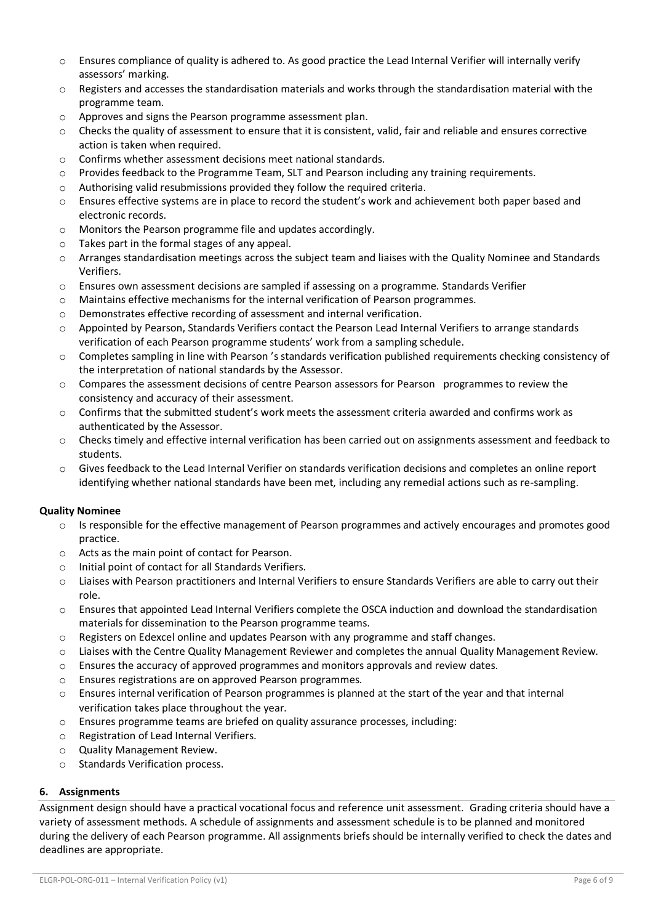- o Ensures compliance of quality is adhered to. As good practice the Lead Internal Verifier will internally verify assessors' marking.
- $\circ$  Registers and accesses the standardisation materials and works through the standardisation material with the programme team.
- o Approves and signs the Pearson programme assessment plan.
- $\circ$  Checks the quality of assessment to ensure that it is consistent, valid, fair and reliable and ensures corrective action is taken when required.
- o Confirms whether assessment decisions meet national standards.
- o Provides feedback to the Programme Team, SLT and Pearson including any training requirements.
- o Authorising valid resubmissions provided they follow the required criteria.
- o Ensures effective systems are in place to record the student's work and achievement both paper based and electronic records.
- o Monitors the Pearson programme file and updates accordingly.
- o Takes part in the formal stages of any appeal.
- o Arranges standardisation meetings across the subject team and liaises with the Quality Nominee and Standards Verifiers.
- $\circ$  Ensures own assessment decisions are sampled if assessing on a programme. Standards Verifier
- o Maintains effective mechanisms for the internal verification of Pearson programmes.
- o Demonstrates effective recording of assessment and internal verification.
- o Appointed by Pearson, Standards Verifiers contact the Pearson Lead Internal Verifiers to arrange standards verification of each Pearson programme students' work from a sampling schedule.
- $\circ$  Completes sampling in line with Pearson 's standards verification published requirements checking consistency of the interpretation of national standards by the Assessor.
- o Compares the assessment decisions of centre Pearson assessors for Pearson programmes to review the consistency and accuracy of their assessment.
- $\circ$  Confirms that the submitted student's work meets the assessment criteria awarded and confirms work as authenticated by the Assessor.
- o Checks timely and effective internal verification has been carried out on assignments assessment and feedback to students.
- $\circ$  Gives feedback to the Lead Internal Verifier on standards verification decisions and completes an online report identifying whether national standards have been met, including any remedial actions such as re-sampling.

## **Quality Nominee**

- $\circ$  Is responsible for the effective management of Pearson programmes and actively encourages and promotes good practice.
- o Acts as the main point of contact for Pearson.
- o Initial point of contact for all Standards Verifiers.
- o Liaises with Pearson practitioners and Internal Verifiers to ensure Standards Verifiers are able to carry out their role.
- o Ensures that appointed Lead Internal Verifiers complete the OSCA induction and download the standardisation materials for dissemination to the Pearson programme teams.
- $\circ$  Registers on Edexcel online and updates Pearson with any programme and staff changes.
- $\circ$  Liaises with the Centre Quality Management Reviewer and completes the annual Quality Management Review.
- $\circ$  Ensures the accuracy of approved programmes and monitors approvals and review dates.
- o Ensures registrations are on approved Pearson programmes.
- $\circ$  Ensures internal verification of Pearson programmes is planned at the start of the year and that internal verification takes place throughout the year.
- o Ensures programme teams are briefed on quality assurance processes, including:
- o Registration of Lead Internal Verifiers.
- o Quality Management Review.
- o Standards Verification process.

## **6. Assignments**

Assignment design should have a practical vocational focus and reference unit assessment. Grading criteria should have a variety of assessment methods. A schedule of assignments and assessment schedule is to be planned and monitored during the delivery of each Pearson programme. All assignments briefs should be internally verified to check the dates and deadlines are appropriate.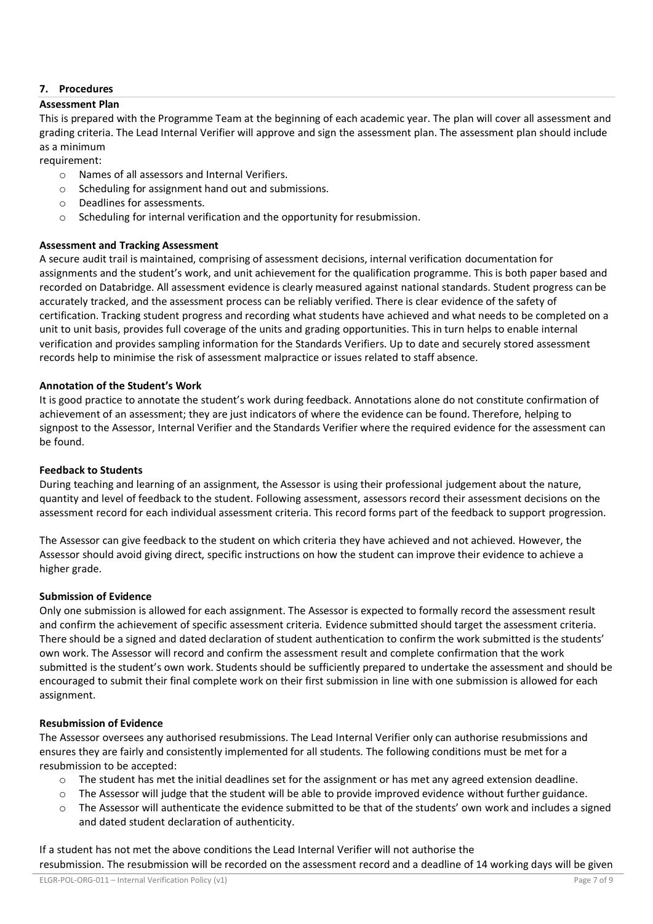# **7. Procedures**

## **Assessment Plan**

This is prepared with the Programme Team at the beginning of each academic year. The plan will cover all assessment and grading criteria. The Lead Internal Verifier will approve and sign the assessment plan. The assessment plan should include as a minimum

requirement:

- o Names of all assessors and Internal Verifiers.
- o Scheduling for assignment hand out and submissions.
- o Deadlines for assessments.
- o Scheduling for internal verification and the opportunity for resubmission.

## **Assessment and Tracking Assessment**

A secure audit trail is maintained, comprising of assessment decisions, internal verification documentation for assignments and the student's work, and unit achievement for the qualification programme. This is both paper based and recorded on Databridge. All assessment evidence is clearly measured against national standards. Student progress can be accurately tracked, and the assessment process can be reliably verified. There is clear evidence of the safety of certification. Tracking student progress and recording what students have achieved and what needs to be completed on a unit to unit basis, provides full coverage of the units and grading opportunities. This in turn helps to enable internal verification and provides sampling information for the Standards Verifiers. Up to date and securely stored assessment records help to minimise the risk of assessment malpractice or issues related to staff absence.

## **Annotation of the Student's Work**

It is good practice to annotate the student's work during feedback. Annotations alone do not constitute confirmation of achievement of an assessment; they are just indicators of where the evidence can be found. Therefore, helping to signpost to the Assessor, Internal Verifier and the Standards Verifier where the required evidence for the assessment can be found.

## **Feedback to Students**

During teaching and learning of an assignment, the Assessor is using their professional judgement about the nature, quantity and level of feedback to the student. Following assessment, assessors record their assessment decisions on the assessment record for each individual assessment criteria. This record forms part of the feedback to support progression.

The Assessor can give feedback to the student on which criteria they have achieved and not achieved. However, the Assessor should avoid giving direct, specific instructions on how the student can improve their evidence to achieve a higher grade.

## **Submission of Evidence**

Only one submission is allowed for each assignment. The Assessor is expected to formally record the assessment result and confirm the achievement of specific assessment criteria. Evidence submitted should target the assessment criteria. There should be a signed and dated declaration of student authentication to confirm the work submitted is the students' own work. The Assessor will record and confirm the assessment result and complete confirmation that the work submitted is the student's own work. Students should be sufficiently prepared to undertake the assessment and should be encouraged to submit their final complete work on their first submission in line with one submission is allowed for each assignment.

## **Resubmission of Evidence**

The Assessor oversees any authorised resubmissions. The Lead Internal Verifier only can authorise resubmissions and ensures they are fairly and consistently implemented for all students. The following conditions must be met for a resubmission to be accepted:

- o The student has met the initial deadlines set for the assignment or has met any agreed extension deadline.
- o The Assessor will judge that the student will be able to provide improved evidence without further guidance.
- o The Assessor will authenticate the evidence submitted to be that of the students' own work and includes a signed and dated student declaration of authenticity.

If a student has not met the above conditions the Lead Internal Verifier will not authorise the resubmission. The resubmission will be recorded on the assessment record and a deadline of 14 working days will be given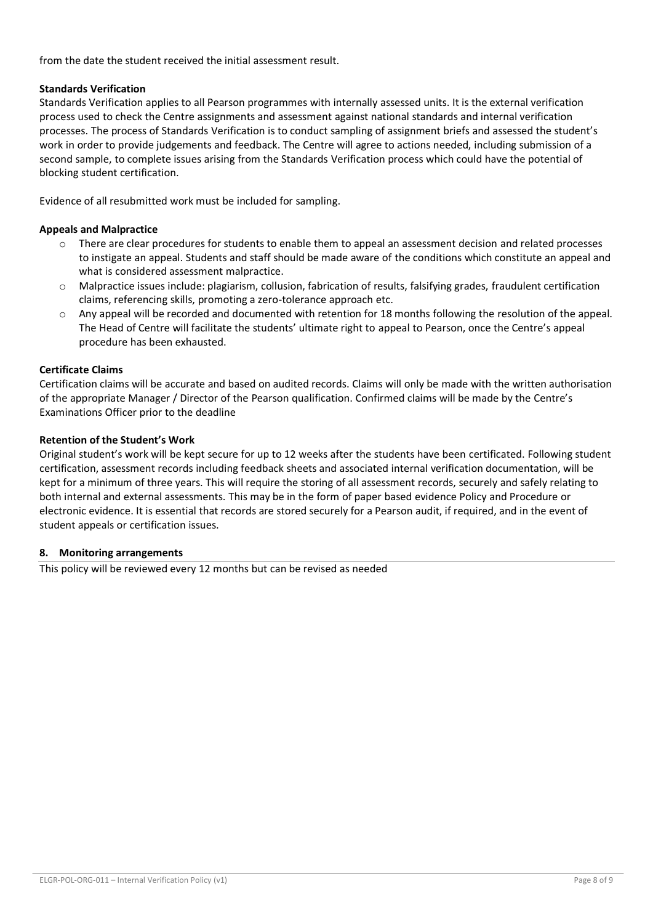from the date the student received the initial assessment result.

# **Standards Verification**

Standards Verification applies to all Pearson programmes with internally assessed units. It is the external verification process used to check the Centre assignments and assessment against national standards and internal verification processes. The process of Standards Verification is to conduct sampling of assignment briefs and assessed the student's work in order to provide judgements and feedback. The Centre will agree to actions needed, including submission of a second sample, to complete issues arising from the Standards Verification process which could have the potential of blocking student certification.

Evidence of all resubmitted work must be included for sampling.

# **Appeals and Malpractice**

- o There are clear procedures for students to enable them to appeal an assessment decision and related processes to instigate an appeal. Students and staff should be made aware of the conditions which constitute an appeal and what is considered assessment malpractice.
- $\circ$  Malpractice issues include: plagiarism, collusion, fabrication of results, falsifying grades, fraudulent certification claims, referencing skills, promoting a zero-tolerance approach etc.
- $\circ$  Any appeal will be recorded and documented with retention for 18 months following the resolution of the appeal. The Head of Centre will facilitate the students' ultimate right to appeal to Pearson, once the Centre's appeal procedure has been exhausted.

# **Certificate Claims**

Certification claims will be accurate and based on audited records. Claims will only be made with the written authorisation of the appropriate Manager / Director of the Pearson qualification. Confirmed claims will be made by the Centre's Examinations Officer prior to the deadline

# **Retention of the Student's Work**

Original student's work will be kept secure for up to 12 weeks after the students have been certificated. Following student certification, assessment records including feedback sheets and associated internal verification documentation, will be kept for a minimum of three years. This will require the storing of all assessment records, securely and safely relating to both internal and external assessments. This may be in the form of paper based evidence Policy and Procedure or electronic evidence. It is essential that records are stored securely for a Pearson audit, if required, and in the event of student appeals or certification issues.

## **8. Monitoring arrangements**

This policy will be reviewed every 12 months but can be revised as needed